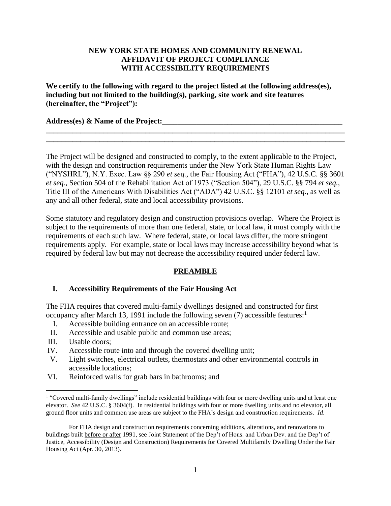### **NEW YORK STATE HOMES AND COMMUNITY RENEWAL AFFIDAVIT OF PROJECT COMPLIANCE WITH ACCESSIBILITY REQUIREMENTS**

**We certify to the following with regard to the project listed at the following address(es), including but not limited to the building(s), parking, site work and site features (hereinafter, the "Project"):**

**Address(es) & Name of the Project:\_\_\_\_\_\_\_\_\_\_\_\_\_\_\_\_\_\_\_\_\_\_\_\_\_\_\_\_\_\_\_\_\_\_\_\_\_\_\_\_\_\_\_\_\_\_\_**

The Project will be designed and constructed to comply, to the extent applicable to the Project, with the design and construction requirements under the New York State Human Rights Law ("NYSHRL"), N.Y. Exec. Law §§ 290 *et seq.*, the Fair Housing Act ("FHA"), 42 U.S.C. §§ 3601 *et seq.*, Section 504 of the Rehabilitation Act of 1973 ("Section 504"), 29 U.S.C. §§ 794 *et seq.*, Title III of the Americans With Disabilities Act ("ADA") 42 U.S.C. §§ 12101 *et seq.*, as well as any and all other federal, state and local accessibility provisions.

**\_\_\_\_\_\_\_\_\_\_\_\_\_\_\_\_\_\_\_\_\_\_\_\_\_\_\_\_\_\_\_\_\_\_\_\_\_\_\_\_\_\_\_\_\_\_\_\_\_\_\_\_\_\_\_\_\_\_\_\_\_\_\_\_\_\_\_\_\_\_\_\_\_\_\_\_\_\_ \_\_\_\_\_\_\_\_\_\_\_\_\_\_\_\_\_\_\_\_\_\_\_\_\_\_\_\_\_\_\_\_\_\_\_\_\_\_\_\_\_\_\_\_\_\_\_\_\_\_\_\_\_\_\_\_\_\_\_\_\_\_\_\_\_\_\_\_\_\_\_\_\_\_\_\_\_\_**

Some statutory and regulatory design and construction provisions overlap. Where the Project is subject to the requirements of more than one federal, state, or local law, it must comply with the requirements of each such law. Where federal, state, or local laws differ, the more stringent requirements apply. For example, state or local laws may increase accessibility beyond what is required by federal law but may not decrease the accessibility required under federal law.

## **PREAMBLE**

### **I. Accessibility Requirements of the Fair Housing Act**

The FHA requires that covered multi-family dwellings designed and constructed for first occupancy after March 13, 1991 include the following seven  $(7)$  accessible features:<sup>1</sup>

- I. Accessible building entrance on an accessible route;
- II. Accessible and usable public and common use areas;
- III. Usable doors;

 $\overline{a}$ 

- IV. Accessible route into and through the covered dwelling unit;
- V. Light switches, electrical outlets, thermostats and other environmental controls in accessible locations;
- VI. Reinforced walls for grab bars in bathrooms; and

<sup>&</sup>lt;sup>1</sup> "Covered multi-family dwellings" include residential buildings with four or more dwelling units and at least one elevator. *See* 42 U.S.C. § 3604(f). In residential buildings with four or more dwelling units and no elevator, all ground floor units and common use areas are subject to the FHA's design and construction requirements. *Id*.

For FHA design and construction requirements concerning additions, alterations, and renovations to buildings built before or after 1991, see Joint Statement of the Dep't of Hous. and Urban Dev. and the Dep't of Justice, Accessibility (Design and Construction) Requirements for Covered Multifamily Dwelling Under the Fair Housing Act (Apr. 30, 2013).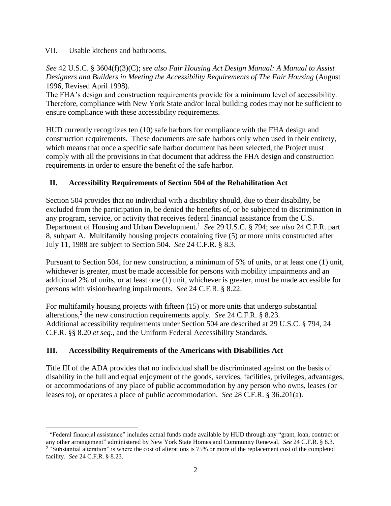VII. Usable kitchens and bathrooms.

*See* 42 U.S.C. § 3604(f)(3)(C); *see also Fair Housing Act Design Manual: A Manual to Assist Designers and Builders in Meeting the Accessibility Requirements of The Fair Housing* (August 1996, Revised April 1998).

The FHA's design and construction requirements provide for a minimum level of accessibility. Therefore, compliance with New York State and/or local building codes may not be sufficient to ensure compliance with these accessibility requirements.

HUD currently recognizes ten (10) safe harbors for compliance with the FHA design and construction requirements. These documents are safe harbors only when used in their entirety, which means that once a specific safe harbor document has been selected, the Project must comply with all the provisions in that document that address the FHA design and construction requirements in order to ensure the benefit of the safe harbor.

# **II. Accessibility Requirements of Section 504 of the Rehabilitation Act**

Section 504 provides that no individual with a disability should, due to their disability, be excluded from the participation in, be denied the benefits of, or be subjected to discrimination in any program, service, or activity that receives federal financial assistance from the U.S. Department of Housing and Urban Development. 1 *See* 29 U.S.C. § 794; *see also* 24 C.F.R. part 8, subpart A*.* Multifamily housing projects containing five (5) or more units constructed after July 11, 1988 are subject to Section 504. *See* 24 C.F.R. § 8.3.

Pursuant to Section 504, for new construction, a minimum of 5% of units, or at least one (1) unit, whichever is greater, must be made accessible for persons with mobility impairments and an additional 2% of units, or at least one (1) unit, whichever is greater, must be made accessible for persons with vision/hearing impairments. *See* 24 C.F.R. § 8.22.

For multifamily housing projects with fifteen (15) or more units that undergo substantial alterations,<sup>2</sup> the new construction requirements apply. *See* 24 C.F.R. § 8.23. Additional accessibility requirements under Section 504 are described at 29 U.S.C. § 794, 24 C.F.R. §§ 8.20 *et seq*., and the Uniform Federal Accessibility Standards.

## **III. Accessibility Requirements of the Americans with Disabilities Act**

 $\overline{a}$ 

Title III of the ADA provides that no individual shall be discriminated against on the basis of disability in the full and equal enjoyment of the goods, services, facilities, privileges, advantages, or accommodations of any place of public accommodation by any person who owns, leases (or leases to), or operates a place of public accommodation. *See* 28 C.F.R. § 36.201(a).

<sup>&</sup>lt;sup>1</sup> "Federal financial assistance" includes actual funds made available by HUD through any "grant, loan, contract or any other arrangement" administered by New York State Homes and Community Renewal. *See* 24 C.F.R. § 8.3. <sup>2</sup> "Substantial alteration" is where the cost of alterations is 75% or more of the replacement cost of the completed facility. *See* 24 C.F.R. § 8.23.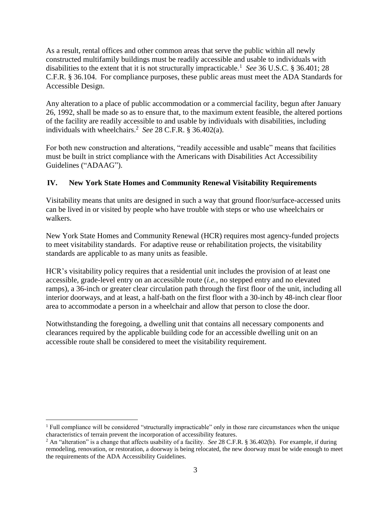As a result, rental offices and other common areas that serve the public within all newly constructed multifamily buildings must be readily accessible and usable to individuals with disabilities to the extent that it is not structurally impracticable.<sup>1</sup> See 36 U.S.C. § 36.401; 28 C.F.R. § 36.104. For compliance purposes, these public areas must meet the ADA Standards for Accessible Design.

Any alteration to a place of public accommodation or a commercial facility, begun after January 26, 1992, shall be made so as to ensure that, to the maximum extent feasible, the altered portions of the facility are readily accessible to and usable by individuals with disabilities, including individuals with wheelchairs.<sup>2</sup> See 28 C.F.R. § 36.402(a).

For both new construction and alterations, "readily accessible and usable" means that facilities must be built in strict compliance with the Americans with Disabilities Act Accessibility Guidelines ("ADAAG").

# **IV. New York State Homes and Community Renewal Visitability Requirements**

Visitability means that units are designed in such a way that ground floor/surface-accessed units can be lived in or visited by people who have trouble with steps or who use wheelchairs or walkers.

New York State Homes and Community Renewal (HCR) requires most agency-funded projects to meet visitability standards. For adaptive reuse or rehabilitation projects, the visitability standards are applicable to as many units as feasible.

HCR's visitability policy requires that a residential unit includes the provision of at least one accessible, grade-level entry on an accessible route (*i.e.*, no stepped entry and no elevated ramps), a 36-inch or greater clear circulation path through the first floor of the unit, including all interior doorways, and at least, a half-bath on the first floor with a 30-inch by 48-inch clear floor area to accommodate a person in a wheelchair and allow that person to close the door.

Notwithstanding the foregoing, a dwelling unit that contains all necessary components and clearances required by the applicable building code for an accessible dwelling unit on an accessible route shall be considered to meet the visitability requirement.

 $\overline{a}$  $<sup>1</sup>$  Full compliance will be considered "structurally impracticable" only in those rare circumstances when the unique</sup> characteristics of terrain prevent the incorporation of accessibility features.

<sup>2</sup> An "alteration" is a change that affects usability of a facility. *See* 28 C.F.R. § 36.402(b). For example, if during remodeling, renovation, or restoration, a doorway is being relocated, the new doorway must be wide enough to meet the requirements of the ADA Accessibility Guidelines.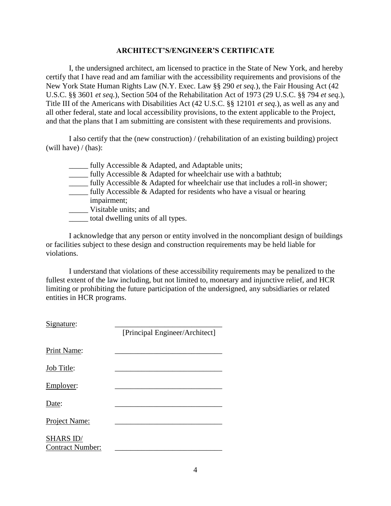#### **ARCHITECT'S/ENGINEER'S CERTIFICATE**

I, the undersigned architect, am licensed to practice in the State of New York, and hereby certify that I have read and am familiar with the accessibility requirements and provisions of the New York State Human Rights Law (N.Y. Exec. Law §§ 290 *et seq.*), the Fair Housing Act (42 U.S.C. §§ 3601 *et seq.*), Section 504 of the Rehabilitation Act of 1973 (29 U.S.C. §§ 794 *et seq.*), Title III of the Americans with Disabilities Act (42 U.S.C. §§ 12101 *et seq.*), as well as any and all other federal, state and local accessibility provisions, to the extent applicable to the Project, and that the plans that I am submitting are consistent with these requirements and provisions.

I also certify that the (new construction) / (rehabilitation of an existing building) project (will have) / (has):

- \_\_\_\_\_ fully Accessible & Adapted, and Adaptable units;
- \_\_\_\_\_ fully Accessible & Adapted for wheelchair use with a bathtub;
- \_\_\_\_\_ fully Accessible & Adapted for wheelchair use that includes a roll-in shower;
- \_\_\_\_\_ fully Accessible & Adapted for residents who have a visual or hearing impairment;
- \_\_\_\_\_ Visitable units; and
- \_\_\_\_\_ total dwelling units of all types.

I acknowledge that any person or entity involved in the noncompliant design of buildings or facilities subject to these design and construction requirements may be held liable for violations.

I understand that violations of these accessibility requirements may be penalized to the fullest extent of the law including, but not limited to, monetary and injunctive relief, and HCR limiting or prohibiting the future participation of the undersigned, any subsidiaries or related entities in HCR programs.

Signature:

|                                             | [Principal Engineer/Architect] |
|---------------------------------------------|--------------------------------|
| Print Name:                                 |                                |
| Job Title:                                  |                                |
| Employer:                                   |                                |
| Date:                                       |                                |
| Project Name:                               |                                |
| <b>SHARS ID/</b><br><b>Contract Number:</b> |                                |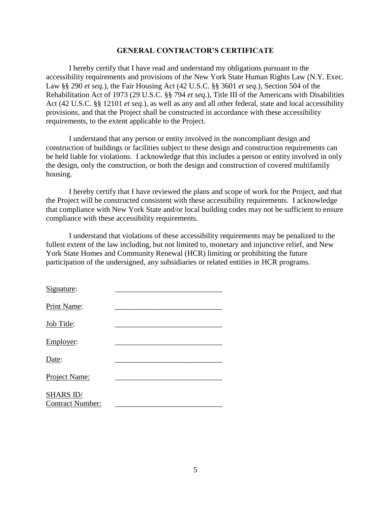#### **GENERAL CONTRACTOR'S CERTIFICATE**

I hereby certify that I have read and understand my obligations pursuant to the accessibility requirements and provisions of the New York State Human Rights Law (N.Y. Exec. Law §§ 290 *et seq.*), the Fair Housing Act (42 U.S.C. §§ 3601 *et seq.*), Section 504 of the Rehabilitation Act of 1973 (29 U.S.C. §§ 794 *et seq.*), Title III of the Americans with Disabilities Act (42 U.S.C. §§ 12101 *et seq.*), as well as any and all other federal, state and local accessibility provisions, and that the Project shall be constructed in accordance with these accessibility requirements, to the extent applicable to the Project.

I understand that any person or entity involved in the noncompliant design and construction of buildings or facilities subject to these design and construction requirements can be held liable for violations. I acknowledge that this includes a person or entity involved in only the design, only the construction, or both the design and construction of covered multifamily housing.

I hereby certify that I have reviewed the plans and scope of work for the Project, and that the Project will be constructed consistent with these accessibility requirements. I acknowledge that compliance with New York State and/or local building codes may not be sufficient to ensure compliance with these accessibility requirements.

I understand that violations of these accessibility requirements may be penalized to the fullest extent of the law including, but not limited to, monetary and injunctive relief, and New York State Homes and Community Renewal (HCR) limiting or prohibiting the future participation of the undersigned, any subsidiaries or related entities in HCR programs.

| Signature:                    |  |
|-------------------------------|--|
| Print Name:                   |  |
| Job Title:                    |  |
| Employer:                     |  |
| Date:                         |  |
| Project Name:                 |  |
| SHARS ID/<br>Contract Number: |  |